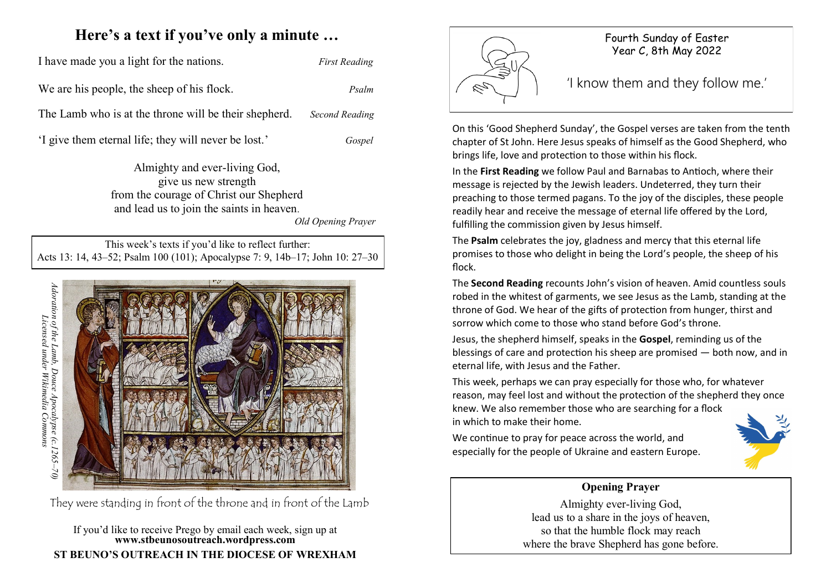# **Here's a text if you've only a minute …**

I have made you a light for the nations. *First Reading* We are his people, the sheep of his flock. *Psalm*

The Lamb who is at the throne will be their shepherd. *Second Reading*

'I give them eternal life; they will never be lost.' *Gospel*

Almighty and ever-living God, give us new strength from the courage of Christ our Shepherd and lead us to join the saints in heaven.

*Old Opening Prayer*

This week's texts if you'd like to reflect further: Acts 13: 14, 43–52; Psalm 100 (101); Apocalypse 7: 9, 14b–17; John 10: 27–30



#### If you'd like to receive Prego by email each week, sign up at **www.stbeunosoutreach.wordpress.com ST BEUNO'S OUTREACH IN THE DIOCESE OF WREXHAM**



On this 'Good Shepherd Sunday', the Gospel verses are taken from the tenth chapter of St John. Here Jesus speaks of himself as the Good Shepherd, who brings life, love and protection to those within his flock.

In the **First Reading** we follow Paul and Barnabas to Antioch, where their message is rejected by the Jewish leaders. Undeterred, they turn their preaching to those termed pagans. To the joy of the disciples, these people readily hear and receive the message of eternal life offered by the Lord, fulfilling the commission given by Jesus himself.

The **Psalm** celebrates the joy, gladness and mercy that this eternal life promises to those who delight in being the Lord's people, the sheep of his flock.

The **Second Reading** recounts John's vision of heaven. Amid countless souls robed in the whitest of garments, we see Jesus as the Lamb, standing at the throne of God. We hear of the gifts of protection from hunger, thirst and sorrow which come to those who stand before God's throne.

Jesus, the shepherd himself, speaks in the **Gospel**, reminding us of the blessings of care and protection his sheep are promised — both now, and in eternal life, with Jesus and the Father.

This week, perhaps we can pray especially for those who, for whatever reason, may feel lost and without the protection of the shepherd they once knew. We also remember those who are searching for a flock in which to make their home.

We continue to pray for peace across the world, and especially for the people of Ukraine and eastern Europe.



#### **Opening Prayer**

Almighty ever-living God, lead us to a share in the joys of heaven, so that the humble flock may reach where the brave Shepherd has gone before.